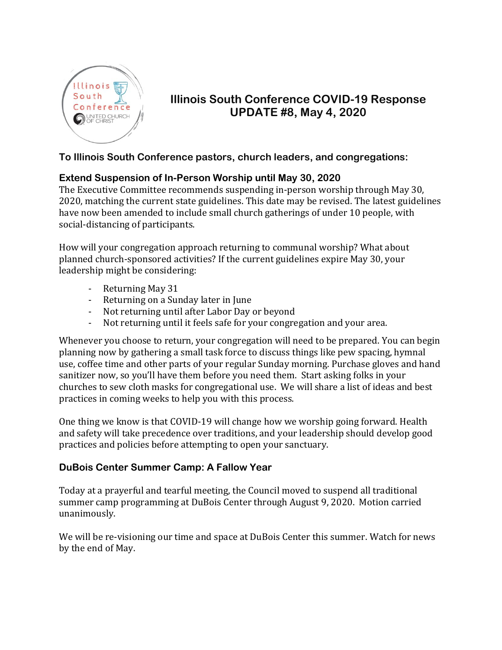

# **Illinois South Conference COVID-19 Response UPDATE #8, May 4, 2020**

#### **To Illinois South Conference pastors, church leaders, and congregations:**

### **Extend Suspension of In-Person Worship until May 30, 2020**

The Executive Committee recommends suspending in-person worship through May 30, 2020, matching the current state guidelines. This date may be revised. The latest guidelines have now been amended to include small church gatherings of under 10 people, with social-distancing of participants.

How will your congregation approach returning to communal worship? What about planned church-sponsored activities? If the current guidelines expire May 30, your leadership might be considering:

- Returning May 31
- Returning on a Sunday later in June
- Not returning until after Labor Day or beyond
- Not returning until it feels safe for your congregation and your area.

Whenever you choose to return, your congregation will need to be prepared. You can begin planning now by gathering a small task force to discuss things like pew spacing, hymnal use, coffee time and other parts of your regular Sunday morning. Purchase gloves and hand sanitizer now, so you'll have them before you need them. Start asking folks in your churches to sew cloth masks for congregational use. We will share a list of ideas and best practices in coming weeks to help you with this process.

One thing we know is that COVID-19 will change how we worship going forward. Health and safety will take precedence over traditions, and your leadership should develop good practices and policies before attempting to open your sanctuary.

#### **DuBois Center Summer Camp: A Fallow Year**

Today at a prayerful and tearful meeting, the Council moved to suspend all traditional summer camp programming at DuBois Center through August 9, 2020. Motion carried unanimously.

We will be re-visioning our time and space at DuBois Center this summer. Watch for news by the end of May.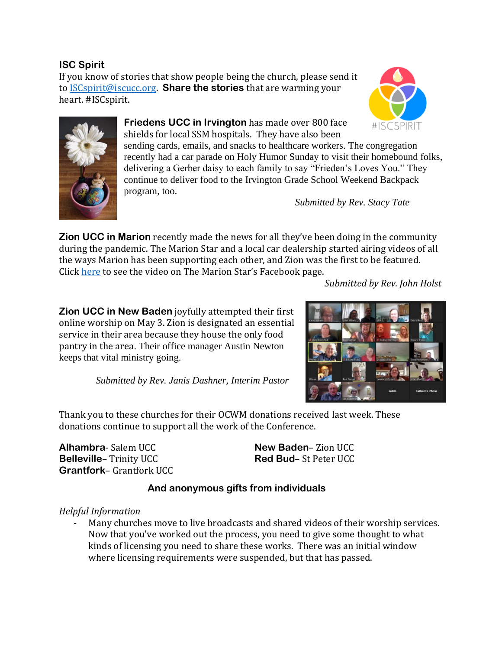**ISC Spirit**

If you know of stories that show people being the church, please send it to [ISCspirit@iscucc.org.](mailto:ISCspirit@iscucc.org) **Share the stories** that are warming your heart. #ISCspirit.





**Friedens UCC in Irvington** has made over 800 face shields for local SSM hospitals. They have also been sending cards, emails, and snacks to healthcare workers. The congregation recently had a car parade on Holy Humor Sunday to visit their homebound folks, delivering a Gerber daisy to each family to say "Frieden's Loves You." They continue to deliver food to the Irvington Grade School Weekend Backpack program, too.

*Submitted by Rev. Stacy Tate*

**Zion UCC in Marion** recently made the news for all they've been doing in the community during the pandemic. The Marion Star and a local car dealership started airing videos of all the ways Marion has been supporting each other, and Zion was the first to be featured. Click [here](https://www.facebook.com/TheMarionStar/videos/595045264700867/) to see the video on The Marion Star's Facebook page.

*Submitted by Rev. John Holst*

**Zion UCC in New Baden** joyfully attempted their first online worship on May 3. Zion is designated an essential service in their area because they house the only food pantry in the area. Their office manager Austin Newton keeps that vital ministry going.



 *Submitted by Rev. Janis Dashner, Interim Pastor*

Thank you to these churches for their OCWM donations received last week. These donations continue to support all the work of the Conference.

**Alhambra**- Salem UCC **Belleville**– Trinity UCC **Grantfork**– Grantfork UCC **New Baden**– Zion UCC **Red Bud**– St Peter UCC

## **And anonymous gifts from individuals**

*Helpful Information*

Many churches move to live broadcasts and shared videos of their worship services. Now that you've worked out the process, you need to give some thought to what kinds of licensing you need to share these works. There was an initial window where licensing requirements were suspended, but that has passed.